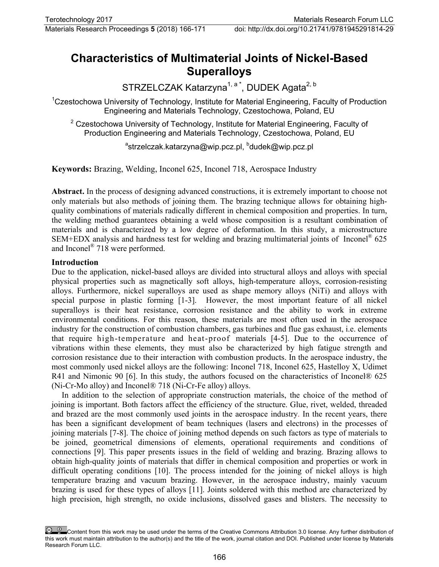# **Characteristics of Multimaterial Joints of Nickel-Based Superalloys**

STRZELCZAK Katarzyna<sup>1, a \*</sup>, DUDEK Agata<sup>2, b</sup>

<sup>1</sup>Czestochowa University of Technology, Institute for Material Engineering, Faculty of Production Engineering and Materials Technology, Czestochowa, Poland, EU

 $2$  Czestochowa University of Technology, Institute for Material Engineering, Faculty of Production Engineering and Materials Technology, Czestochowa, Poland, EU

<sup>a</sup>[strzelczak.katarzyna@wip.pcz.pl,](mailto:strzelczak.katarzyna@wip.pcz.pl) <sup>b</sup>[dudek@wip.pcz.pl](mailto:dudek@wip.pcz.pl)

**Keywords:** Brazing, Welding, Inconel 625, Inconel 718, Aerospace Industry

**Abstract.** In the process of designing advanced constructions, it is extremely important to choose not only materials but also methods of joining them. The brazing technique allows for obtaining highquality combinations of materials radically different in chemical composition and properties. In turn, the welding method guarantees obtaining a weld whose composition is a resultant combination of materials and is characterized by a low degree of deformation. In this study, a microstructure SEM+EDX analysis and hardness test for welding and brazing multimaterial joints of Inconel<sup>®</sup> 625 and Inconel® 718 were performed.

#### **Introduction**

Due to the application, nickel-based alloys are divided into structural alloys and alloys with special physical properties such as magnetically soft alloys, high-temperature alloys, corrosion-resisting alloys. Furthermore, nickel superalloys are used as shape memory alloys (NiTi) and alloys with special purpose in plastic forming [1-3]. However, the most important feature of all nickel superalloys is their heat resistance, corrosion resistance and the ability to work in extreme environmental conditions. For this reason, these materials are most often used in the aerospace industry for the construction of combustion chambers, gas turbines and flue gas exhaust, i.e. elements that require high-temperature and heat-proof materials [4-5]. Due to the occurrence of vibrations within these elements, they must also be characterized by high fatigue strength and corrosion resistance due to their interaction with combustion products. In the aerospace industry, the most commonly used nickel alloys are the following: Inconel 718, Inconel 625, Hastelloy X, Udimet R41 and Nimonic 90 [6]. In this study, the authors focused on the characteristics of Inconel® 625 (Ni-Cr-Mo alloy) and Inconel® 718 (Ni-Cr-Fe alloy) alloys.

In addition to the selection of appropriate construction materials, the choice of the method of joining is important. Both factors affect the efficiency of the structure. Glue, rivet, welded, threaded and brazed are the most commonly used joints in the aerospace industry. In the recent years, there has been a significant development of beam techniques (lasers and electrons) in the processes of joining materials [7-8]. The choice of joining method depends on such factors as type of materials to be joined, geometrical dimensions of elements, operational requirements and conditions of connections [9]. This paper presents issues in the field of welding and brazing. Brazing allows to obtain high-quality joints of materials that differ in chemical composition and properties or work in difficult operating conditions [10]. The process intended for the joining of nickel alloys is high temperature brazing and vacuum brazing. However, in the aerospace industry, mainly vacuum brazing is used for these types of alloys [11]. Joints soldered with this method are characterized by high precision, high strength, no oxide inclusions, dissolved gases and blisters. The necessity to

Content from this work may be used under the terms of the Creative Commons Attribution 3.0 license. Any further distribution of this work must maintain attribution to the author(s) and the title of the work, journal citation and DOI. Published under license by Materials Research Forum LLC.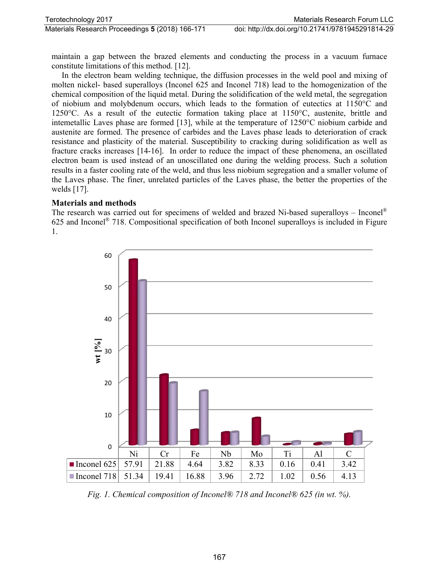maintain a gap between the brazed elements and conducting the process in a vacuum furnace constitute limitations of this method. [12].

In the electron beam welding technique, the diffusion processes in the weld pool and mixing of molten nickel- based superalloys (Inconel 625 and Inconel 718) lead to the homogenization of the chemical composition of the liquid metal. During the solidification of the weld metal, the segregation of niobium and molybdenum occurs, which leads to the formation of eutectics at 1150°C and 1250°C. As a result of the eutectic formation taking place at 1150°C, austenite, brittle and intemetallic Laves phase are formed [13], while at the temperature of 1250°C niobium carbide and austenite are formed. The presence of carbides and the Laves phase leads to deterioration of crack resistance and plasticity of the material. Susceptibility to cracking during solidification as well as fracture cracks increases [14-16]. In order to reduce the impact of these phenomena, an oscillated electron beam is used instead of an unoscillated one during the welding process. Such a solution results in a faster cooling rate of the weld, and thus less niobium segregation and a smaller volume of the Laves phase. The finer, unrelated particles of the Laves phase, the better the properties of the welds [17].

### **Materials and methods**

The research was carried out for specimens of welded and brazed Ni-based superalloys – Inconel® 625 and Inconel® 718. Compositional specification of both Inconel superalloys is included in Figure 1.



*Fig. 1. Chemical composition of Inconel® 718 and Inconel® 625 (in wt. %).*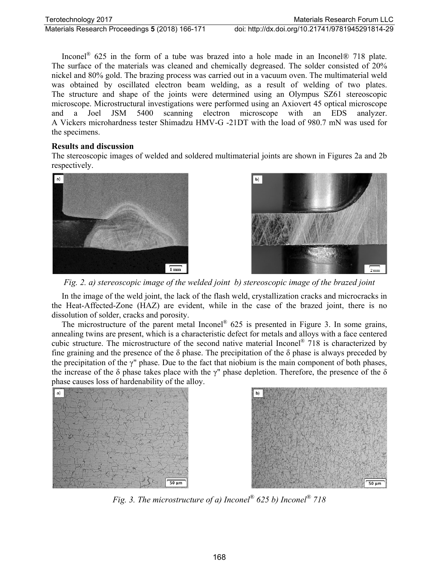Inconel® 625 in the form of a tube was brazed into a hole made in an Inconel® 718 plate. The surface of the materials was cleaned and chemically degreased. The solder consisted of 20% nickel and 80% gold. The brazing process was carried out in a vacuum oven. The multimaterial weld was obtained by oscillated electron beam welding, as a result of welding of two plates. The structure and shape of the joints were determined using an Olympus SZ61 stereoscopic microscope. Microstructural investigations were performed using an Axiovert 45 optical microscope and a Joel JSM 5400 scanning electron microscope with an EDS analyzer. A Vickers microhardness tester Shimadzu HMV-G -21DT with the load of 980.7 mN was used for the specimens.

#### **Results and discussion**

The stereoscopic images of welded and soldered multimaterial joints are shown in Figures 2a and 2b respectively.





*Fig. 2. a) stereoscopic image of the welded joint b) stereoscopic image of the brazed joint*

In the image of the weld joint, the lack of the flash weld, crystallization cracks and microcracks in the Heat-Affected-Zone (HAZ) are evident, while in the case of the brazed joint, there is no dissolution of solder, cracks and porosity.

The microstructure of the parent metal Inconel® 625 is presented in Figure 3. In some grains, annealing twins are present, which is a characteristic defect for metals and alloys with a face centered cubic structure. The microstructure of the second native material Inconel® 718 is characterized by fine graining and the presence of the  $\delta$  phase. The precipitation of the  $\delta$  phase is always preceded by the precipitation of the  $\gamma$ " phase. Due to the fact that niobium is the main component of both phases, the increase of the  $\delta$  phase takes place with the  $\gamma$ " phase depletion. Therefore, the presence of the  $\delta$ phase causes loss of hardenability of the alloy.





*Fig. 3. The microstructure of a) Inconel® 625 b) Inconel® 718*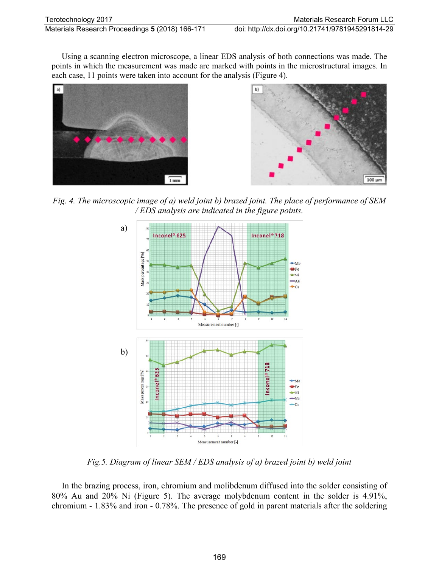Using a scanning electron microscope, a linear EDS analysis of both connections was made. The points in which the measurement was made are marked with points in the microstructural images. In each case, 11 points were taken into account for the analysis (Figure 4).





*Fig. 4. The microscopic image of a) weld joint b) brazed joint. The place of performance of SEM / EDS analysis are indicated in the figure points.*



*Fig.5. Diagram of linear SEM / EDS analysis of a) brazed joint b) weld joint*

In the brazing process, iron, chromium and molibdenum diffused into the solder consisting of 80% Au and 20% Ni (Figure 5). The average molybdenum content in the solder is 4.91%, chromium - 1.83% and iron - 0.78%. The presence of gold in parent materials after the soldering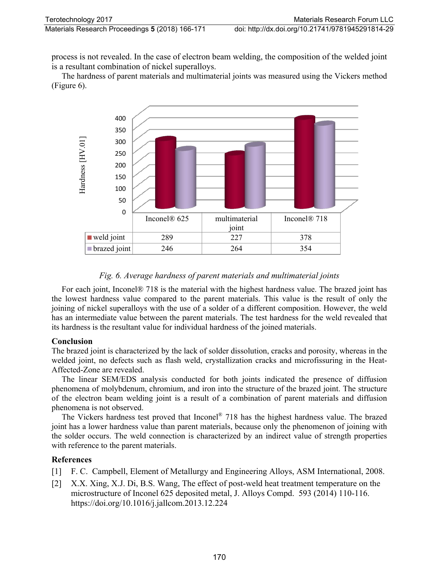process is not revealed. In the case of electron beam welding, the composition of the welded joint is a resultant combination of nickel superalloys.

The hardness of parent materials and multimaterial joints was measured using the Vickers method (Figure 6).



## *Fig. 6. Average hardness of parent materials and multimaterial joints*

For each joint, Inconel® 718 is the material with the highest hardness value. The brazed joint has the lowest hardness value compared to the parent materials. This value is the result of only the joining of nickel superalloys with the use of a solder of a different composition. However, the weld has an intermediate value between the parent materials. The test hardness for the weld revealed that its hardness is the resultant value for individual hardness of the joined materials.

#### **Conclusion**

The brazed joint is characterized by the lack of solder dissolution, cracks and porosity, whereas in the welded joint, no defects such as flash weld, crystallization cracks and microfissuring in the Heat-Affected-Zone are revealed.

The linear SEM/EDS analysis conducted for both joints indicated the presence of diffusion phenomena of molybdenum, chromium, and iron into the structure of the brazed joint. The structure of the electron beam welding joint is a result of a combination of parent materials and diffusion phenomena is not observed.

The Vickers hardness test proved that Inconel<sup>®</sup> 718 has the highest hardness value. The brazed joint has a lower hardness value than parent materials, because only the phenomenon of joining with the solder occurs. The weld connection is characterized by an indirect value of strength properties with reference to the parent materials.

#### **References**

- [1] F. C. Campbell, Element of Metallurgy and Engineering Alloys, ASM International, 2008.
- [2] X.X. Xing, X.J. Di, B.S. Wang, The effect of post-weld heat treatment temperature on the microstructure of Inconel 625 deposited metal, J. Alloys Compd. 593 (2014) 110-116. https://doi.org/10.1016/j.jallcom.2013.12.224